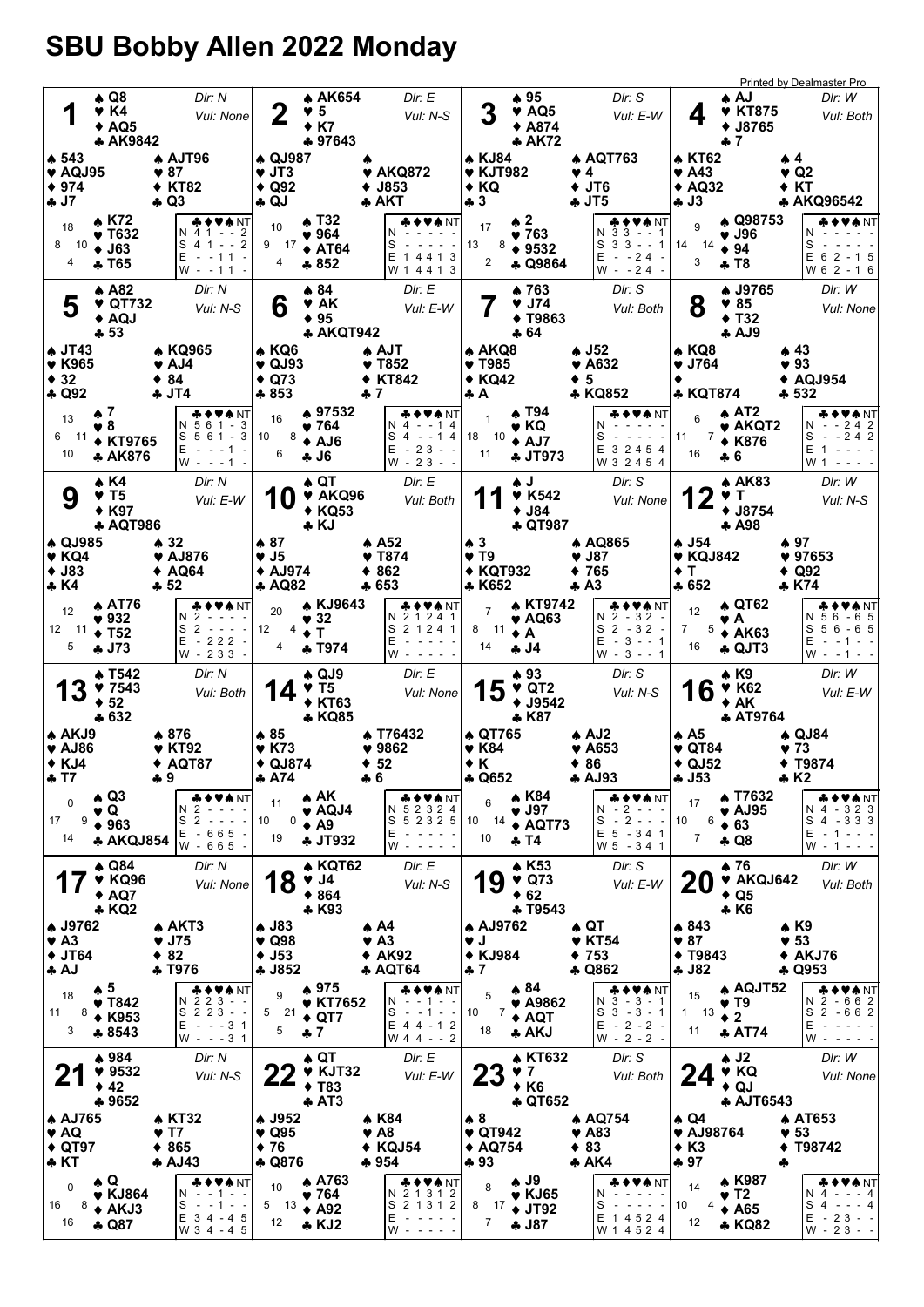## SBU Bobby Allen 2022 Monday

| 1                                                                                     |                       | ♠ Q8<br>$\blacktriangledown$ K4<br>◆ AQ5<br>♣ AK9842                    | DIr: N<br>Vul: None                                                                                                                                                                                                                                                                          | 2                                                                               | <b>A AK654</b><br>♥ 5<br>$+ K7$<br>♣ 97643                                      | Dir: E<br>Vul: N-S                                                                                                                                                                                                                                                     |                                                                 | ▲ 95<br>$\blacktriangledown$ AQ5<br>◆ A874<br>A K72                      | DIr: S<br>Vul: E-W                                                                                                                                                                                                                                                                                                                                                                                                                                                             | ▲ AJ<br>4<br>♣ 7                                                   | <b>Printed by Dealmaster Pro</b><br>DIr: W<br><b>* KT875</b><br>Vul: Both<br><b>◆ J8765</b>                                                                                                                      |
|---------------------------------------------------------------------------------------|-----------------------|-------------------------------------------------------------------------|----------------------------------------------------------------------------------------------------------------------------------------------------------------------------------------------------------------------------------------------------------------------------------------------|---------------------------------------------------------------------------------|---------------------------------------------------------------------------------|------------------------------------------------------------------------------------------------------------------------------------------------------------------------------------------------------------------------------------------------------------------------|-----------------------------------------------------------------|--------------------------------------------------------------------------|--------------------------------------------------------------------------------------------------------------------------------------------------------------------------------------------------------------------------------------------------------------------------------------------------------------------------------------------------------------------------------------------------------------------------------------------------------------------------------|--------------------------------------------------------------------|------------------------------------------------------------------------------------------------------------------------------------------------------------------------------------------------------------------|
| $\clubsuit$ 543<br>$\blacktriangledown$ AQJ95<br>$* 974$<br>÷ J7                      |                       |                                                                         | A AJT96<br>♥ 87<br><b>◆ KT82</b><br>♣ Q3                                                                                                                                                                                                                                                     | <b>A QJ987</b><br>$\blacktriangledown$ JT3<br>$\triangle$ Q92<br>$\clubsuit$ QJ |                                                                                 | ♥ AKQ872<br>J853<br>♣ АКТ                                                                                                                                                                                                                                              | ▲ KJ84<br>$\blacktriangledown$ KJT982<br>$\triangle$ KQ<br>♣ 3  |                                                                          | ▲ AQT763<br>♥ 4<br>$+$ JT6<br>4 JT5                                                                                                                                                                                                                                                                                                                                                                                                                                            | ≱ KT62<br>$\blacktriangledown$ A43<br>$*$ AQ32<br>♣ J3             | ₩4.<br>♥ Q2<br>◆ KT<br>♣ AKQ96542                                                                                                                                                                                |
| 18<br>10<br>8<br>4                                                                    |                       | A K72<br>♥ Т632<br>$\bullet$ J63<br>♣ T65                               | ♣♦♥♣NT<br>N 4 1 - - 2<br>$S$ 4 1 - - 2<br>$E - 11 -$<br>$W - -11$                                                                                                                                                                                                                            | 10<br>9 17<br>4                                                                 | $\triangle$ T32<br>$\blacktriangledown 964$<br>$\triangle$ AT64<br>$*852$       | ,♦♥♠ NT<br>N.<br>S<br>E 1 4 4 1 3<br>W 1 4 4 1 3                                                                                                                                                                                                                       | 17<br>13<br>8<br>2                                              | $\clubsuit$ 2<br>♥ 763<br>$* 9532$<br><b>4 Q9864</b>                     | & ♦ ♥★ NT<br>$N$ 33 - -1<br>S<br>$33 - - 1$<br>Е<br>$- 24 -$<br>$W - 24 -$                                                                                                                                                                                                                                                                                                                                                                                                     | 9<br>♥ J96<br>14<br>14<br>$\div$ 94<br>3<br>* T8                   | A Q98753<br>N<br>S<br>$E$ 6 2 - 1 5<br>W 6 2 - 1 6                                                                                                                                                               |
| 5<br>$\clubsuit$ JT43                                                                 | $+53$                 | $\triangle$ A82<br>♥ QT732<br>$\triangle$ AQJ                           | DIr: N<br>Vul: N-S<br><b>* KQ965</b>                                                                                                                                                                                                                                                         | 6<br>♠ KQ6                                                                      | ▲ 84<br>♥ AK<br>$* 95$<br><b>4 AKQT942</b>                                      | DIr: E<br>Vul: E-W<br>♠ AJT                                                                                                                                                                                                                                            | ♠ AKQ8                                                          | ▲ 763<br>$9$ J74<br>$+ T9863$<br>♣ 64                                    | DIr: S<br>Vul: Both<br>$\clubsuit$ J52                                                                                                                                                                                                                                                                                                                                                                                                                                         | 8<br>985<br>٠<br>♠ KQ8                                             | A J9765<br>DIr: W<br>Vul: None<br>T32<br>$A$ AJ9<br>▲ 43                                                                                                                                                         |
| ♥ K965<br>$*32$<br>$\clubsuit$ Q92                                                    | ₩7                    |                                                                         | $\blacktriangledown$ AJ4<br>$*84$<br>♣ JT4                                                                                                                                                                                                                                                   | $\blacktriangledown$ QJ93<br>$\triangle$ Q73<br>$*853$                          | ▲ 97532                                                                         | $\blacktriangledown$ T852<br><b>KT842</b><br>♣ 7<br>◆♥♠NT                                                                                                                                                                                                              | ♥ T985<br>$\triangle$ KQ42<br>♣A                                | ▲ T94                                                                    | $\blacktriangledown$ A632<br>♦ 5<br>♣ KQ852                                                                                                                                                                                                                                                                                                                                                                                                                                    | $\blacktriangledown$ J764<br>٠<br><b>* KQT874</b>                  | $\blacktriangledown$ 93<br>$\triangle$ AQJ954<br>♣ 532<br>$\triangle$ AT2                                                                                                                                        |
| 13<br>6<br>$-11$<br>10                                                                | ♥ 8                   | ◆ KT9765<br><b>4 AK876</b>                                              | ♣♦♥♠NT<br>N 5 6 1 - 3<br>S 5 6 1 - 3<br>$E -$<br>$- - 1 -$<br>$W - - - 1$                                                                                                                                                                                                                    | 16<br>10<br>8<br>6                                                              | ♥ 764<br>$\triangle$ AJ6<br><b>4J6</b>                                          | N 4<br>--14<br>S 4<br>$- - 14$<br>$-23 - -$<br>Е<br>$W - 23 - -$                                                                                                                                                                                                       | 1<br>18 10<br>11                                                | ♥ KQ<br>$\triangle$ AJ7<br><b>4 JT973</b>                                | VA NT<br>S<br>$\sim$ $ \sim$<br>Е<br>3 2 4 5 4<br>W 3 2 4 5 4                                                                                                                                                                                                                                                                                                                                                                                                                  | 6<br>$7 \div K876$<br>11<br>16<br>* 6                              | VANT<br>$N - 242$<br>$\blacktriangledown$ AKQT2<br>S<br>$- 242$<br>Е<br>W 1                                                                                                                                      |
| 9                                                                                     |                       | A K4<br>$\blacktriangledown$ T5<br>+ K97<br><b>A AQT986</b>             | Dir: N<br>Vul: E-W                                                                                                                                                                                                                                                                           | U                                                                               | ▲ QT<br>V AKQ96<br><b>◆ KQ53</b><br>♣ KJ                                        | DIr: E<br>Vul: Both                                                                                                                                                                                                                                                    |                                                                 | ل په<br>$\blacktriangledown$ K542<br>$\triangle$ J84<br>+ QT987          | DIr: S<br>Vul: None                                                                                                                                                                                                                                                                                                                                                                                                                                                            | 12<br>V T                                                          | <b>A AK83</b><br>DIr: W<br>Vul: N-S<br>$•$ J8754<br>♣ A98                                                                                                                                                        |
| <b>4 QJ985</b><br>$\blacktriangledown$ KQ4<br>$+$ J83<br>♣ K4                         |                       |                                                                         | ♠ 32<br>♥ AJ876<br>$\triangle$ AQ64<br>♣ 52                                                                                                                                                                                                                                                  | $\clubsuit 87$<br>$\blacktriangledown$ J5<br><b>↑ AJ974</b><br>♣ AQ82           |                                                                                 | ♠ A52<br>♥ T874<br>862<br>♣ 653                                                                                                                                                                                                                                        | $\clubsuit$ 3<br>$\blacktriangledown$ T9<br>◆ KQT932<br>* K652  |                                                                          | ♠ AQ865<br>♥ J87<br>♦ 765<br>$+ A3$                                                                                                                                                                                                                                                                                                                                                                                                                                            | ▲ J54<br>$\blacktriangledown$ KQJ842<br>$\bullet$ T<br>$*652$      | ♠ 97<br>♥ 97653<br>$\triangle$ Q92<br>* K74                                                                                                                                                                      |
| 12<br>12 11<br>5                                                                      |                       | <b>A AT76</b><br>$\blacktriangledown$ 932<br>$\div$ T52<br><b>4 J73</b> | <b>&amp;♦♥₳</b> NT<br>N<br>2<br>S <sub>2</sub><br>$\frac{1}{2} \left( \begin{array}{ccc} 1 & 0 & 0 \\ 0 & 0 & 0 \\ 0 & 0 & 0 \end{array} \right) = \frac{1}{2} \left( \begin{array}{ccc} 1 & 0 & 0 \\ 0 & 0 & 0 \\ 0 & 0 & 0 \\ 0 & 0 & 0 \end{array} \right)$<br>$E - 222 -$<br>$W - 233 -$ | 20<br>12<br>4<br>4                                                              | A KJ9643<br>$\blacktriangledown$ 32<br>Т<br><b>+ T974</b>                       | ◆♥♠NT<br>N 2 1 2 4 1<br>S 2 1 2 4 1<br>E.<br>W                                                                                                                                                                                                                         | $\overline{7}$<br>8<br>-11<br>14                                | <b>A KT9742</b><br>$\blacktriangledown$ AQ63<br>$\triangle$ A<br>4ل ئ    | & ♦ ♥★ NT<br>$2 - 32 -$<br>N<br>$S_2 - 32 -$<br>$E - 3 - - 1$<br>$W - 3 - - 1$                                                                                                                                                                                                                                                                                                                                                                                                 | 12<br>v A<br>$\overline{7}$<br>5<br>16                             | <b>A QT62</b><br><b>▲◆♥♠</b> NT<br>N 5 6 - 6 5<br>$S56 - 65$<br>$\triangle$ AK63<br>E<br>- 1<br>$\clubsuit$ QJT3<br>$W - -1 -$                                                                                   |
| 13                                                                                    | $\div$ 52             | A T542<br>97543<br>$+632$                                               | DIr: N<br>Vul: Both                                                                                                                                                                                                                                                                          | 14                                                                              | $\clubsuit$ QJ9<br>$\blacktriangledown$ T5<br><b>◆ KT63</b><br><b>* KQ85</b>    | DIr: E<br>Vul: None                                                                                                                                                                                                                                                    | 15                                                              | $*93$<br>$\blacktriangledown$ QT2<br>$+$ J9542<br>* K87                  | DIr: S<br>Vul: N-S                                                                                                                                                                                                                                                                                                                                                                                                                                                             | A K9<br>16<br>$*AK$                                                | DIr: W<br><b>V K62</b><br>Vul: E-W<br><b>AT9764</b>                                                                                                                                                              |
| ♠ AKJ9<br>$\blacktriangledown$ AJ86<br>$\triangle$ KJ4<br>4 I I                       |                       |                                                                         | ♠ 876<br>♥ KT92<br>$\triangle$ AQT87<br>ቀ አ                                                                                                                                                                                                                                                  | $*85$<br>♥ K73<br>$\triangle$ QJ874<br>♣ A/4                                    |                                                                                 | ♣ T76432<br>♥ 9862<br>452<br>ቀዕ                                                                                                                                                                                                                                        | ♠ QT765<br>♥ K84<br>◆ K<br><b>4 Q652</b>                        |                                                                          | $\clubsuit$ AJ2<br>♥ A653<br>♦ 86<br><b>A AJ93</b>                                                                                                                                                                                                                                                                                                                                                                                                                             | ♠ A5<br>$\blacktriangledown$ QT84<br>$\triangle$ QJ52<br>♣ J53     | ♠ QJ84<br>♥ 73<br><b>◆ T9874</b><br>⊕ KZ                                                                                                                                                                         |
| $\Omega$<br>9<br>17<br>14                                                             | $\triangle$ Q3<br>♥ Q | $*963$<br><b>* AKQJ854</b>                                              | ◆♥♠NT<br>N<br>2<br>S <sub>2</sub><br>$\frac{1}{2} \left( \frac{1}{2} \right) \frac{1}{2} \left( \frac{1}{2} \right) \frac{1}{2} \left( \frac{1}{2} \right)$<br>E - 665<br>W - 665                                                                                                            | 11<br>0<br>10<br>19                                                             | $\clubsuit$ AK<br>$\blacktriangledown$ AQJ4<br>$\triangle$ A9<br><b>4 JT932</b> | <b>&amp;♦♥♠NT</b><br>N 5 2 3 2 4<br>52325<br>S<br>Е<br>$W - - - -$                                                                                                                                                                                                     | 6<br>10 14<br>10                                                | A K84<br>$\blacktriangledown$ J97<br>$\triangle$ AQT73<br>$+T4$          | ♣♦♥♠NT<br>$N - 2 - -$<br>$-2 - -$<br>S<br>E 5 - 34 1<br>W 5 - 34 1                                                                                                                                                                                                                                                                                                                                                                                                             | 17<br>6<br>10<br>$\div 63$<br>$\overline{7}$<br>♣ Q8               | <b>4 T7632</b><br>VANT<br>N 4 - 323<br>$\blacktriangledown$ AJ95<br>$S_4 - 333$<br>$E - 1$<br>$\frac{1}{2} \left( \frac{1}{2} \right) \frac{1}{2} \left( \frac{1}{2} \right)$<br>$W - 1$<br>$\sim$ $\sim$ $\sim$ |
|                                                                                       |                       | <b>↑ Q84</b><br><b>V KQ96</b><br>$* AQ7$<br><b>* KQ2</b>                | DIr: N<br>Vul: None                                                                                                                                                                                                                                                                          | 18                                                                              | <b>* KQT62</b><br>$\blacktriangledown$ J4<br>$*864$<br>$*$ K93                  | Dir: E<br>Vul: N-S                                                                                                                                                                                                                                                     | 19                                                              | <b>AK53</b><br>$\blacktriangledown$ Q73<br>$\div 62$<br><b>4 T9543</b>   | Dir: S<br>Vul: E-W                                                                                                                                                                                                                                                                                                                                                                                                                                                             | $*76$<br>20<br>$\triangle$ Q5<br>$\clubsuit$ K6                    | DIr: W<br><b>V AKQJ642</b><br>Vul: Both                                                                                                                                                                          |
| <b>↑ J9762</b><br>$\blacktriangledown$ A <sub>3</sub><br>$\blacklozenge$ JT64<br>♣ AJ |                       |                                                                         | ♠ AKT3<br>$\blacktriangledown$ J75<br>$\div$ 82<br>+ T976                                                                                                                                                                                                                                    | <b>A J83</b><br>$\blacktriangledown$ Q98<br>$\blacklozenge$ J53<br>$-1852$      |                                                                                 | ♠ А4<br>$\blacktriangledown$ A3<br>$*$ AK92<br><b>A AQT64</b>                                                                                                                                                                                                          | ♦ AJ9762<br>$\blacktriangledown$ J<br>◆ KJ984<br>$+7$           |                                                                          | ♠ QT<br>$\blacktriangledown$ KT54<br>4753<br><b>4 Q862</b>                                                                                                                                                                                                                                                                                                                                                                                                                     | ♠ 843<br>$\blacktriangledown 87$<br><b>◆ T9843</b><br><b>4 J82</b> | ♠ K9<br>$\blacktriangledown$ 53<br>$* AKJ76$<br><b>4 Q953</b>                                                                                                                                                    |
| 18<br>11<br>8<br>3                                                                    | $\clubsuit$ 5         | $\blacktriangledown$ T842<br>$\triangle$ K953<br>* 8543                 | ♣♦♥♠NT<br>N 223<br>$\sim$ $\sim$<br>$S$ 2 2 3 - -<br>$- - - 3 1$<br>Е<br>$W - - - 3 1$                                                                                                                                                                                                       | 9<br>21<br>5<br>5                                                               | ♣ 975<br>♥ KT7652<br>$\triangleleft$ QT7<br>$+7$                                | &♦♥♠NT<br>- 1<br>N.<br>S<br>$-1 - -$<br>$\sim$<br>$E$ 4 4 - 1 2<br>W 4 4 - - 2                                                                                                                                                                                         | 5<br>10<br>7<br>18                                              | $\clubsuit 84$<br>$\blacktriangledown$ A9862<br>$\triangle$ AQT<br>♣ AKJ | <b>* ♦ ♥ ♠</b> NT<br>$N$ 3 - 3 - 1<br>$S_3 - 3 - 1$<br>Е<br>$-2-2-$<br>$W - 2 - 2 -$                                                                                                                                                                                                                                                                                                                                                                                           | 15<br>v T9<br>$1 \quad 13$<br>$\bullet$ 2<br>11                    | <b>AQJT52</b><br><b>*◆♥♠</b> NT<br>N 2 - 6 6 2<br>S<br>$2 - 662$<br>E<br><b>AT74</b><br>W                                                                                                                        |
| '2                                                                                    | 42                    | ♦ 984<br>9532<br>♣ 9652                                                 | Dir: N<br>Vul: N-S                                                                                                                                                                                                                                                                           | <u>ZZ</u>                                                                       | $\clubsuit$ QT<br><b>V</b> KJT32<br>$\blacklozenge$ T83<br>$\clubsuit$ AT3      | DIr: E<br>Vul: E-W                                                                                                                                                                                                                                                     | <b>23</b>                                                       | <b>4 KT632</b><br><b>V</b> 7<br>$+K6$<br><b>4 QT652</b>                  | DIr: S<br>Vul: Both                                                                                                                                                                                                                                                                                                                                                                                                                                                            | $\clubsuit$ J2<br>24<br>♦ QJ                                       | DIr: W<br>♥ KQ<br>Vul: None<br><b>AJT6543</b>                                                                                                                                                                    |
| <b>A AJ765</b><br>♥ AQ<br>$\triangle$ QT97<br>$*$ KT                                  |                       |                                                                         | <b>A KT32</b><br>♥ T7<br>$*865$<br><b>AJ43</b>                                                                                                                                                                                                                                               | <b>↑ J952</b><br>$\blacktriangledown$ Q95<br>$\div$ 76<br><b>4 Q876</b>         |                                                                                 | <b>↑ K84</b><br>$\Psi$ A8<br>KQJ54<br>٠<br>$+954$                                                                                                                                                                                                                      | $\clubsuit$ 8<br>$\blacktriangledown$ QT942<br>◆ AQ754<br>$+93$ |                                                                          | ♠ AQ754<br>♥ A83<br>$*83$<br><b>* AK4</b>                                                                                                                                                                                                                                                                                                                                                                                                                                      | ♠ Q4<br>♥ AJ98764<br>$\triangle$ K3<br>$+97$                       | ♦ AT653<br>♥ 53<br>T98742<br>٠<br>٠                                                                                                                                                                              |
| $\mathbf 0$<br>8<br>16<br>16                                                          | ♠ Q                   | ♥ KJ864<br>$\triangle$ AKJ3<br>♣ Q87                                    | ♣♦♥♠NT<br>N<br>$-1$ - 1 - -<br>S<br>$-1 - -$<br>E 3 4 - 4 5<br>W 3 4 - 4 5                                                                                                                                                                                                                   | 10<br>5<br>13<br>12                                                             | <b>A763</b><br>$\blacktriangledown 764$<br>$\triangle$ A92<br>$\clubsuit$ KJ2   | ♣♦♥♠NT<br>N 2 1 3 1 2<br>S 2 1 3 1 2<br>E<br>$\frac{1}{2} \left( \begin{array}{ccc} 1 & 0 & 0 \\ 0 & 0 & 0 \\ 0 & 0 & 0 \end{array} \right) = \frac{1}{2} \left( \begin{array}{ccc} 1 & 0 & 0 \\ 0 & 1 & 0 \\ 0 & 0 & 0 \\ 0 & 0 & 0 \end{array} \right)$<br>$W - - -$ | 8<br>8<br>17<br>$\overline{7}$                                  | $\clubsuit$ J9<br>$\blacktriangledown$ KJ65<br>$+$ JT92<br>♣ J87         | ╄♦♥♠NT<br>N<br>$\frac{1}{2} \left( \begin{array}{ccc} 1 & 0 & 0 \\ 0 & 0 & 0 \\ 0 & 0 & 0 \end{array} \right) = \frac{1}{2} \left( \begin{array}{ccc} 1 & 0 & 0 \\ 0 & 0 & 0 \\ 0 & 0 & 0 \\ 0 & 0 & 0 \end{array} \right)$<br>S<br>$\frac{1}{2} \left( \begin{array}{ccc} 1 & 0 & 0 \\ 0 & 0 & 0 \\ 0 & 0 & 0 \end{array} \right) = \frac{1}{2} \left( \begin{array}{ccc} 1 & 0 & 0 \\ 0 & 0 & 0 \\ 0 & 0 & 0 \\ 0 & 0 & 0 \end{array} \right)$<br>E 1 4 5 2 4<br>W 1 4 5 2 4 | 14<br>$\blacktriangledown$ T2<br>10<br>4<br>12                     | ≱ K987<br>VONT<br>N<br>$\overline{4}$<br>$- - - 4$<br>$S_4 - - 4$<br>$\triangle$ A65<br>$E - 23 - -$<br>* KQ82<br>$W - 23 - -$                                                                                   |